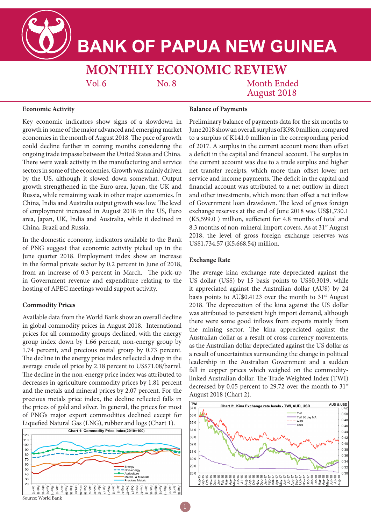**BANK OF PAPUA NEW GUINEA** 

**MONTHLY ECONOMIC REVIEW**  $Vol.6$ No. 8

**Month Ended August 2018** 

### **Economic Activity**

Key economic indicators show signs of a slowdown in growth in some of the major advanced and emerging market economies in the month of August 2018. The pace of growth could decline further in coming months considering the ongoing trade impasse between the United States and China. There were weak activity in the manufacturing and service sectors in some of the economies. Growth was mainly driven by the US, although it slowed down somewhat. Output growth strengthened in the Euro area, Japan, the UK and Russia, while remaining weak in other major economies. In China, India and Australia output growth was low. The level of employment increased in August 2018 in the US, Euro area, Japan, UK, India and Australia, while it declined in China, Brazil and Russia.

In the domestic economy, indicators available to the Bank of PNG suggest that economic activity picked up in the June quarter 2018. Employment index show an increase in the formal private sector by 0.2 percent in June of 2018, from an increase of 0.3 percent in March. The pick-up in Government revenue and expenditure relating to the hosting of APEC meetings would support activity.

## **Commodity Prices**

Available data from the World Bank show an overall decline in global commodity prices in August 2018. International prices for all commodity groups declined, with the energy group index down by 1.66 percent, non-energy group by 1.74 percent, and precious metal group by 0.73 percent. The decline in the energy price index reflected a drop in the average crude oil price by 2.18 percent to US\$71.08/barrel. The decline in the non-energy price index was attributed to decreases in agriculture commodity prices by 1.81 percent and the metals and mineral prices by 2.07 percent. For the precious metals price index, the decline reflected falls in the prices of gold and silver. In general, the prices for most of PNG's major export commodities declined except for



# **Balance of Payments**

Preliminary balance of payments data for the six months to June 2018 show an overall surplus of K98.0 million, compared to a surplus of K141.0 million in the corresponding period of 2017. A surplus in the current account more than offset a deficit in the capital and financial account. The surplus in the current account was due to a trade surplus and higher net transfer receipts, which more than offset lower net service and income payments. The deficit in the capital and financial account was attributed to a net outflow in direct and other investments, which more than offset a net inflow of Government loan drawdown. The level of gross foreign exchange reserves at the end of June 2018 was US\$1,730.1 (K5,599.0 ) million, sufficient for 4.8 months of total and 8.3 months of non-mineral import covers. As at 31<sup>st</sup> August 2018, the level of gross foreign exchange reserves was US\$1,734.57 (K5,668.54) million.

### **Exchange Rate**

The average kina exchange rate depreciated against the US dollar (US\$) by 15 basis points to US\$0.3019, while it appreciated against the Australian dollar (AU\$) by 24 basis points to AU\$0.4123 over the month to  $31<sup>st</sup>$  August 2018. The depreciation of the kina against the US dollar was attributed to persistent high import demand, although there were some good inflows from exports mainly from the mining sector. The kina appreciated against the Australian dollar as a result of cross currency movements, as the Australian dollar depreciated against the US dollar as a result of uncertainties surrounding the change in political leadership in the Australian Government and a sudden fall in copper prices which weighed on the commoditylinked Australian dollar. The Trade Weighted Index (TWI) decreased by 0.05 percent to 29.72 over the month to  $31<sup>st</sup>$ August 2018 (Chart 2).

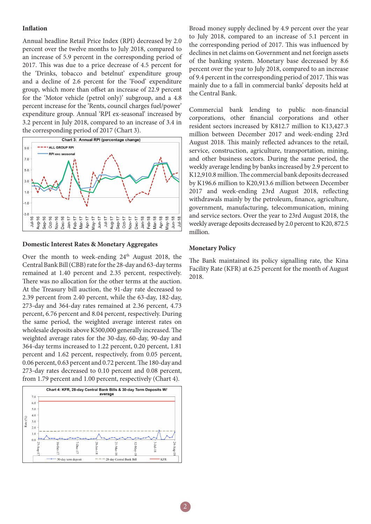# **Inflation**

Annual headline Retail Price Index (RPI) decreased by 2.0 percent over the twelve months to July 2018, compared to an increase of 5.9 percent in the corresponding period of 2017. This was due to a price decrease of 4.5 percent for the 'Drinks, tobacco and betelnut' expenditure group and a decline of 2.6 percent for the 'Food' expenditure group, which more than offset an increase of 22.9 percent for the 'Motor vehicle (petrol only)' subgroup, and a 4.8 percent increase for the 'Rents, council charges fuel/power' expenditure group. Annual 'RPI ex-seasonal' increased by 3.2 percent in July 2018, compared to an increase of 3.4 in the corresponding period of 2017 (Chart 3).



### **Domestic Interest Rates & Monetary Aggregates**

Over the month to week-ending  $24<sup>th</sup>$  August 2018, the Central Bank Bill (CBB) rate for the 28-day and 63-day terms remained at 1.40 percent and 2.35 percent, respectively. There was no allocation for the other terms at the auction. At the Treasury bill auction, the 91-day rate decreased to 2.39 percent from 2.40 percent, while the 63-day, 182-day, 273-day and 364-day rates remained at 2.36 percent, 4.73 percent, 6.76 percent and 8.04 percent, respectively. During the same period, the weighted average interest rates on wholesale deposits above K500,000 generally increased. The weighted average rates for the 30-day, 60-day, 90-day and 364-day terms increased to 1.22 percent, 0.20 percent, 1.81 percent and 1.62 percent, respectively, from 0.05 percent, 0.06 percent, 0.63 percent and 0.72 percent. The 180-day and 273-day rates decreased to 0.10 percent and 0.08 percent, from 1.79 percent and 1.00 percent, respectively (Chart 4).



Broad money supply declined by 4.9 percent over the year to July 2018, compared to an increase of 5.1 percent in the corresponding period of 2017. This was influenced by declines in net claims on Government and net foreign assets of the banking system. Monetary base decreased by 8.6 percent over the year to July 2018, compared to an increase of 9.4 percent in the corresponding period of 2017. This was mainly due to a fall in commercial banks' deposits held at the Central Bank.

Commercial bank lending to public non-financial corporations, other financial corporations and other resident sectors increased by K812.7 million to K13,427.3 million between December 2017 and week-ending 23rd August 2018. This mainly reflected advances to the retail, service, construction, agriculture, transportation, mining, and other business sectors. During the same period, the weekly average lending by banks increased by 2.9 percent to K12,910.8 million. The commercial bank deposits decreased by K196.6 million to K20,913.6 million between December 2017 and week-ending 23rd August 2018, reflecting withdrawals mainly by the petroleum, finance, agriculture, government, manufacturing, telecommunication, mining and service sectors. Over the year to 23rd August 2018, the weekly average deposits decreased by 2.0 percent to K20, 872.5 million.

# **Monetary Policy**

The Bank maintained its policy signalling rate, the Kina Facility Rate (KFR) at 6.25 percent for the month of August 2018.